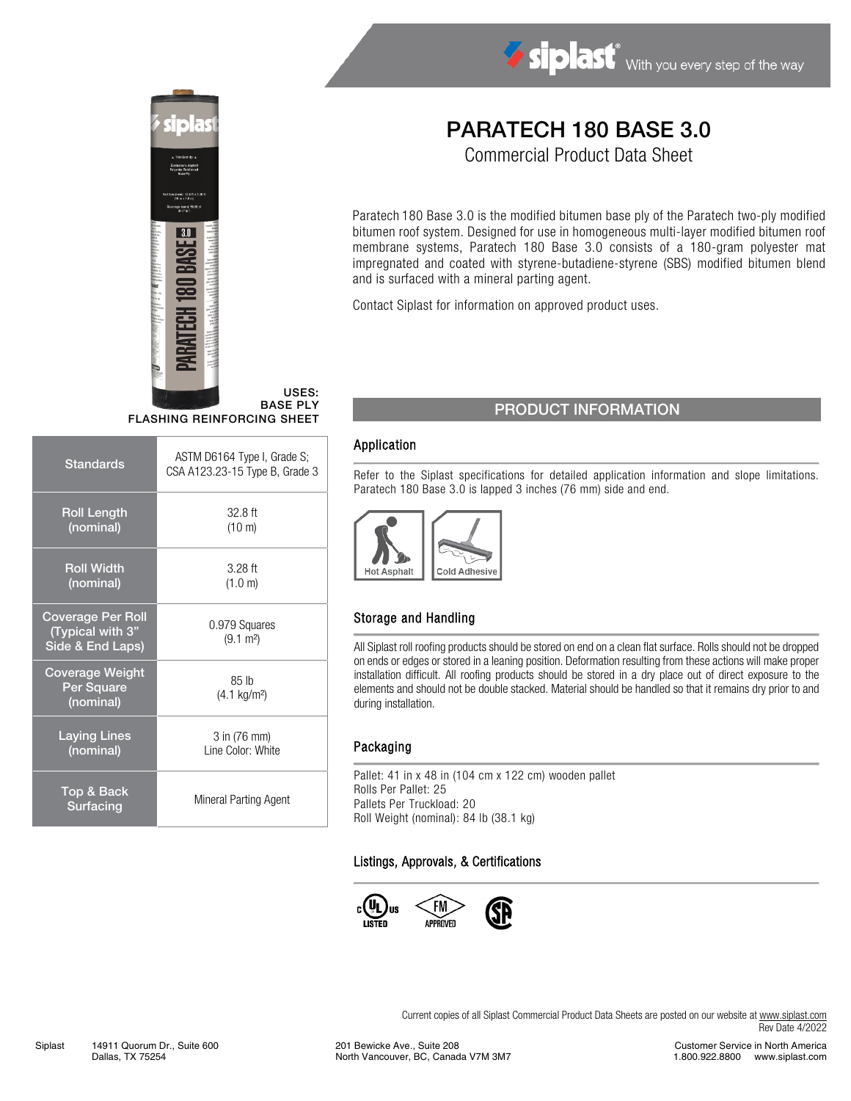



USES: BASE PLY FLASHING REINFORCING SHEET

| <b>Standards</b>                                                 | ASTM D6164 Type I, Grade S;<br>CSA A123.23-15 Type B, Grade 3 |
|------------------------------------------------------------------|---------------------------------------------------------------|
| <b>Roll Length</b><br>(nominal)                                  | $32.8$ ft<br>$(10 \text{ m})$                                 |
| <b>Roll Width</b><br>(nominal)                                   | $3.28$ ft<br>(1.0 m)                                          |
| <b>Coverage Per Roll</b><br>(Typical with 3"<br>Side & End Laps) | 0.979 Squares<br>$(9.1 \text{ m}^2)$                          |
| <b>Coverage Weight</b><br>Per Square<br>(nominal)                | 85 lb<br>$(4.1 \text{ kg/m}^2)$                               |
| <b>Laying Lines</b><br>(nominal)                                 | 3 in (76 mm)<br>I ine Color: White                            |
| Top & Back<br>Surfacing                                          | Mineral Parting Agent                                         |

# PARATECH 180 BASE 3.0

Commercial Product Data Sheet

Paratech 180 Base 3.0 is the modified bitumen base ply of the Paratech two-ply modified bitumen roof system. Designed for use in homogeneous multi-layer modified bitumen roof membrane systems, Paratech 180 Base 3.0 consists of a 180-gram polyester mat impregnated and coated with styrene-butadiene-styrene (SBS) modified bitumen blend and is surfaced with a mineral parting agent.

Contact Siplast for information on approved product uses.

### PRODUCT INFORMATION

#### Application

Refer to the Siplast specifications for detailed application information and slope limitations. Paratech 180 Base 3.0 is lapped 3 inches (76 mm) side and end.



#### Storage and Handling

All Siplast roll roofing products should be stored on end on a clean flat surface. Rolls should not be dropped on ends or edges or stored in a leaning position. Deformation resulting from these actions will make proper installation difficult. All roofing products should be stored in a dry place out of direct exposure to the elements and should not be double stacked. Material should be handled so that it remains dry prior to and during installation.

#### Packaging

Pallet: 41 in x 48 in (104 cm x 122 cm) wooden pallet Rolls Per Pallet: 25 Pallets Per Truckload: 20 Roll Weight (nominal): 84 lb (38.1 kg)

#### Listings, Approvals, & Certifications



Current copies of all Siplast Commercial Product Data Sheets are posted on our website at [www.siplast.com](http://www.siplast.com/) Rev Date 4/2022